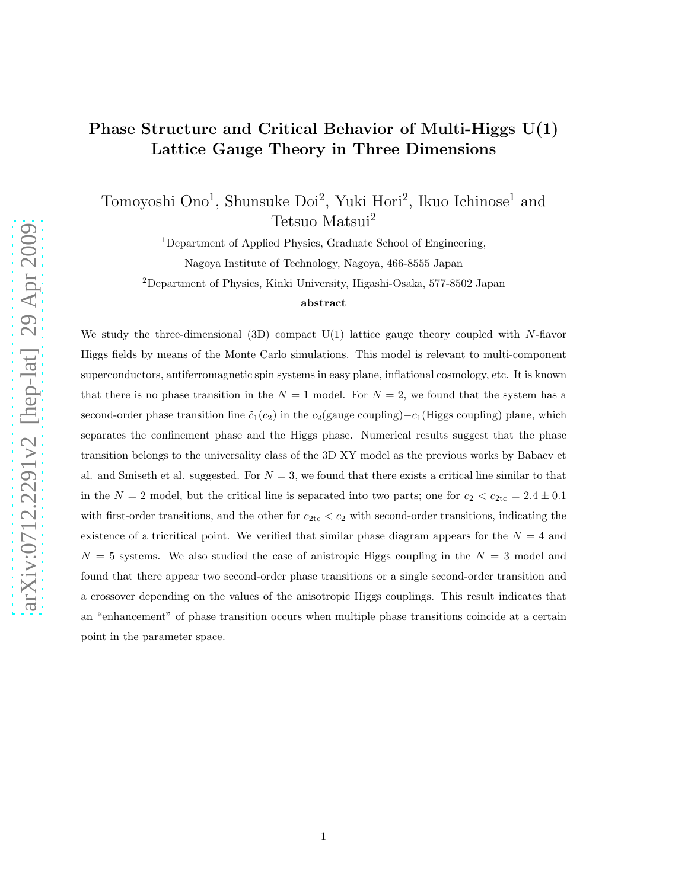# Phase Structure and Critical Behavior of Multi-Higgs U(1) Lattice Gauge Theory in Three Dimensions

Tomoyoshi Ono<sup>1</sup>, Shunsuke Doi<sup>2</sup>, Yuki Hori<sup>2</sup>, Ikuo Ichinose<sup>1</sup> and Tetsuo Matsui<sup>2</sup>

<sup>1</sup>Department of Applied Physics, Graduate School of Engineering,

Nagoya Institute of Technology, Nagoya, 466-8555 Japan

<sup>2</sup>Department of Physics, Kinki University, Higashi-Osaka, 577-8502 Japan

#### abstract

We study the three-dimensional  $(3D)$  compact  $U(1)$  lattice gauge theory coupled with N-flavor Higgs fields by means of the Monte Carlo simulations. This model is relevant to multi-component superconductors, antiferromagnetic spin systems in easy plane, inflational cosmology, etc. It is known that there is no phase transition in the  $N = 1$  model. For  $N = 2$ , we found that the system has a second-order phase transition line  $\tilde{c}_1(c_2)$  in the  $c_2$ (gauge coupling)– $c_1$ (Higgs coupling) plane, which separates the confinement phase and the Higgs phase. Numerical results suggest that the phase transition belongs to the universality class of the 3D XY model as the previous works by Babaev et al. and Smiseth et al. suggested. For  $N = 3$ , we found that there exists a critical line similar to that in the  $N = 2$  model, but the critical line is separated into two parts; one for  $c_2 < c_{2\text{tc}} = 2.4 \pm 0.1$ with first-order transitions, and the other for  $c_{2\text{tc}} < c_2$  with second-order transitions, indicating the existence of a tricritical point. We verified that similar phase diagram appears for the  $N = 4$  and  $N = 5$  systems. We also studied the case of anistropic Higgs coupling in the  $N = 3$  model and found that there appear two second-order phase transitions or a single second-order transition and a crossover depending on the values of the anisotropic Higgs couplings. This result indicates that an "enhancement" of phase transition occurs when multiple phase transitions coincide at a certain point in the parameter space.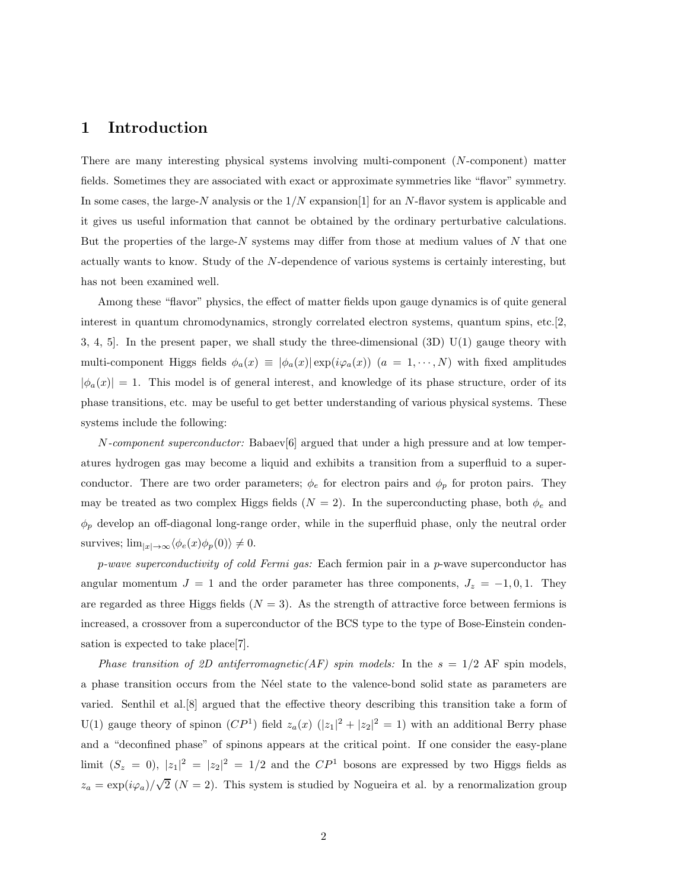### 1 Introduction

There are many interesting physical systems involving multi-component (N-component) matter fields. Sometimes they are associated with exact or approximate symmetries like "flavor" symmetry. In some cases, the large-N analysis or the  $1/N$  expansion  $[1]$  for an N-flavor system is applicable and it gives us useful information that cannot be obtained by the ordinary perturbative calculations. But the properties of the large- $N$  systems may differ from those at medium values of  $N$  that one actually wants to know. Study of the N-dependence of various systems is certainly interesting, but has not been examined well.

Among these "flavor" physics, the effect of matter fields upon gauge dynamics is of quite general interest in quantum chromodynamics, strongly correlated electron systems, quantum spins, etc.[2,] 3, 4, 5]. In the present paper, we shall study the three-dimensional (3D) U(1) gauge theory with multi-component Higgs fields  $\phi_a(x) \equiv |\phi_a(x)| \exp(i\varphi_a(x))$   $(a = 1, \dots, N)$  with fixed amplitudes  $|\phi_a(x)| = 1$ . This model is of general interest, and knowledge of its phase structure, order of its phase transitions, etc. may be useful to get better understanding of various physical systems. These systems include the following:

N-component superconductor: Babaev[6] argued that under a high pressure and at low temperatures hydrogen gas may become a liquid and exhibits a transition from a superfluid to a superconductor. There are two order parameters;  $\phi_e$  for electron pairs and  $\phi_p$  for proton pairs. They may be treated as two complex Higgs fields  $(N = 2)$ . In the superconducting phase, both  $\phi_e$  and  $\phi_p$  develop an off-diagonal long-range order, while in the superfluid phase, only the neutral order survives;  $\lim_{|x| \to \infty} \langle \phi_e(x) \phi_p(0) \rangle \neq 0.$ 

p-wave superconductivity of cold Fermi gas: Each fermion pair in a p-wave superconductor has angular momentum  $J = 1$  and the order parameter has three components,  $J_z = -1, 0, 1$ . They are regarded as three Higgs fields  $(N = 3)$ . As the strength of attractive force between fermions is increased, a crossover from a superconductor of the BCS type to the type of Bose-Einstein condensation is expected to take place[7].

Phase transition of 2D antiferromagnetic(AF) spin models: In the  $s = 1/2$  AF spin models, a phase transition occurs from the Néel state to the valence-bond solid state as parameters are varied. Senthil et al.[8] argued that the effective theory describing this transition take a form of U(1) gauge theory of spinon  $(CP<sup>1</sup>)$  field  $z_a(x)$   $(|z_1|^2 + |z_2|^2 = 1)$  with an additional Berry phase and a "deconfined phase" of spinons appears at the critical point. If one consider the easy-plane limit  $(S_z = 0)$ ,  $|z_1|^2 = |z_2|^2 = 1/2$  and the  $\mathbb{CP}^1$  bosons are expressed by two Higgs fields as  $z_a = \exp(i\varphi_a)/\sqrt{2}$  (N = 2). This system is studied by Nogueira et al. by a renormalization group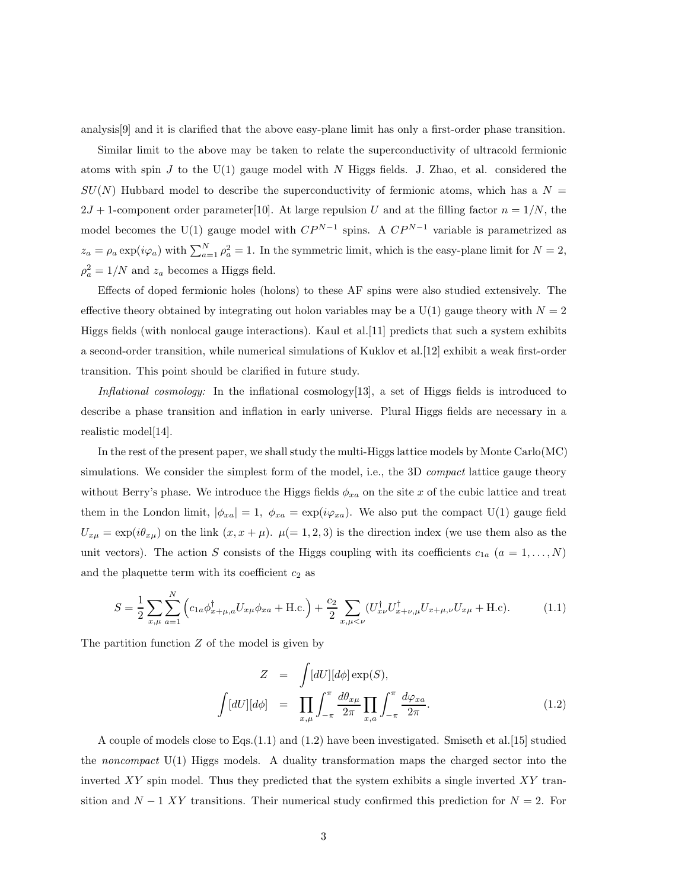analysis[9] and it is clarified that the above easy-plane limit has only a first-order phase transition.

Similar limit to the above may be taken to relate the superconductivity of ultracold fermionic atoms with spin J to the U(1) gauge model with N Higgs fields. J. Zhao, et al. considered the  $SU(N)$  Hubbard model to describe the superconductivity of fermionic atoms, which has a  $N =$  $2J + 1$ -component order parameter[10]. At large repulsion U and at the filling factor  $n = 1/N$ , the model becomes the U(1) gauge model with  $CP^{N-1}$  spins. A  $CP^{N-1}$  variable is parametrized as  $z_a = \rho_a \exp(i\varphi_a)$  with  $\sum_{a=1}^{N} \rho_a^2 = 1$ . In the symmetric limit, which is the easy-plane limit for  $N = 2$ ,  $\rho_a^2 = 1/N$  and  $z_a$  becomes a Higgs field.

Effects of doped fermionic holes (holons) to these AF spins were also studied extensively. The effective theory obtained by integrating out holon variables may be a  $U(1)$  gauge theory with  $N = 2$ Higgs fields (with nonlocal gauge interactions). Kaul et al.[11] predicts that such a system exhibits a second-order transition, while numerical simulations of Kuklov et al.[12] exhibit a weak first-order transition. This point should be clarified in future study.

Inflational cosmology: In the inflational cosmology [13], a set of Higgs fields is introduced to describe a phase transition and inflation in early universe. Plural Higgs fields are necessary in a realistic model[14].

In the rest of the present paper, we shall study the multi-Higgs lattice models by Monte Carlo(MC) simulations. We consider the simplest form of the model, i.e., the 3D *compact* lattice gauge theory without Berry's phase. We introduce the Higgs fields  $\phi_{xa}$  on the site x of the cubic lattice and treat them in the London limit,  $|\phi_{xa}| = 1$ ,  $\phi_{xa} = \exp(i\varphi_{xa})$ . We also put the compact U(1) gauge field  $U_{x\mu} = \exp(i\theta_{x\mu})$  on the link  $(x, x + \mu)$ .  $\mu (= 1, 2, 3)$  is the direction index (we use them also as the unit vectors). The action S consists of the Higgs coupling with its coefficients  $c_{1a}$   $(a = 1, \ldots, N)$ and the plaquette term with its coefficient  $c_2$  as

$$
S = \frac{1}{2} \sum_{x,\mu} \sum_{a=1}^{N} \left( c_{1a} \phi_{x+\mu,a}^{\dagger} U_{x\mu} \phi_{xa} + \text{H.c.} \right) + \frac{c_2}{2} \sum_{x,\mu < \nu} (U_{x\nu}^{\dagger} U_{x+\nu,\mu}^{\dagger} U_{x+\mu,\nu} U_{x\mu} + \text{H.c.}). \tag{1.1}
$$

The partition function  $Z$  of the model is given by

$$
Z = \int [dU][d\phi] \exp(S),
$$
  

$$
\int [dU][d\phi] = \prod_{x,\mu} \int_{-\pi}^{\pi} \frac{d\theta_{x\mu}}{2\pi} \prod_{x,a} \int_{-\pi}^{\pi} \frac{d\varphi_{xa}}{2\pi}.
$$
 (1.2)

A couple of models close to Eqs.(1.1) and (1.2) have been investigated. Smiseth et al.[15] studied the noncompact  $U(1)$  Higgs models. A duality transformation maps the charged sector into the inverted  $XY$  spin model. Thus they predicted that the system exhibits a single inverted  $XY$  transition and  $N-1$  XY transitions. Their numerical study confirmed this prediction for  $N=2$ . For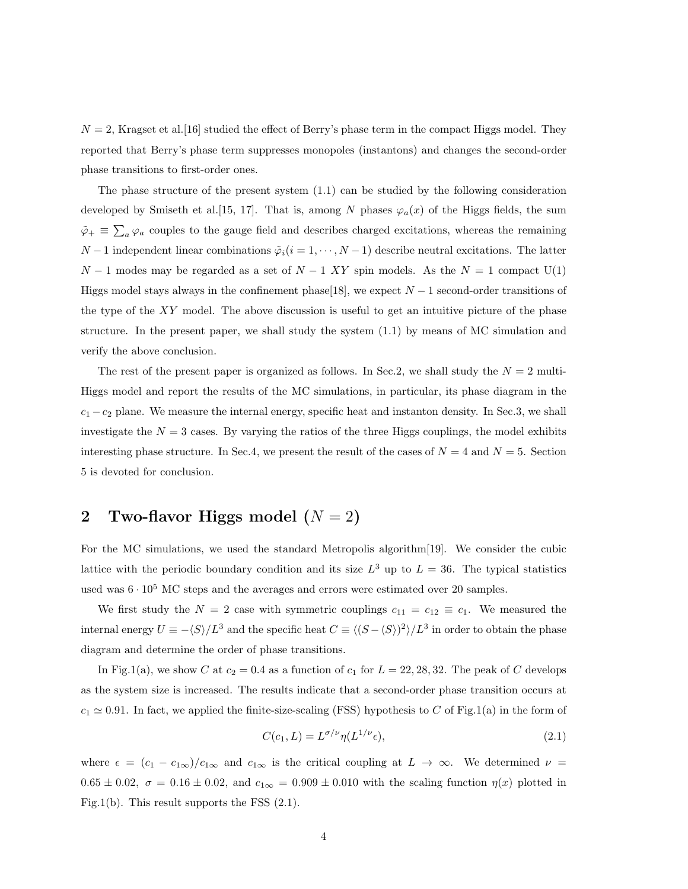$N = 2$ , Kragset et al. [16] studied the effect of Berry's phase term in the compact Higgs model. They reported that Berry's phase term suppresses monopoles (instantons) and changes the second-order phase transitions to first-order ones.

The phase structure of the present system  $(1.1)$  can be studied by the following consideration developed by Smiseth et al. [15, 17]. That is, among N phases  $\varphi_a(x)$  of the Higgs fields, the sum  $\tilde{\varphi}_+ \equiv \sum_a \varphi_a$  couples to the gauge field and describes charged excitations, whereas the remaining  $N-1$  independent linear combinations  $\tilde{\varphi}_i(i=1,\cdots,N-1)$  describe neutral excitations. The latter  $N-1$  modes may be regarded as a set of  $N-1$  XY spin models. As the  $N=1$  compact U(1) Higgs model stays always in the confinement phase[18], we expect  $N-1$  second-order transitions of the type of the  $XY$  model. The above discussion is useful to get an intuitive picture of the phase structure. In the present paper, we shall study the system (1.1) by means of MC simulation and verify the above conclusion.

The rest of the present paper is organized as follows. In Sec.2, we shall study the  $N = 2$  multi-Higgs model and report the results of the MC simulations, in particular, its phase diagram in the  $c_1 - c_2$  plane. We measure the internal energy, specific heat and instanton density. In Sec.3, we shall investigate the  $N = 3$  cases. By varying the ratios of the three Higgs couplings, the model exhibits interesting phase structure. In Sec.4, we present the result of the cases of  $N = 4$  and  $N = 5$ . Section 5 is devoted for conclusion.

### 2 Two-flavor Higgs model  $(N = 2)$

For the MC simulations, we used the standard Metropolis algorithm[19]. We consider the cubic lattice with the periodic boundary condition and its size  $L^3$  up to  $L = 36$ . The typical statistics used was  $6 \cdot 10^5$  MC steps and the averages and errors were estimated over 20 samples.

We first study the  $N = 2$  case with symmetric couplings  $c_{11} = c_{12} \equiv c_1$ . We measured the internal energy  $U \equiv -\langle S \rangle / L^3$  and the specific heat  $C \equiv \langle (S - \langle S \rangle)^2 \rangle / L^3$  in order to obtain the phase diagram and determine the order of phase transitions.

In Fig.1(a), we show C at  $c_2 = 0.4$  as a function of  $c_1$  for  $L = 22, 28, 32$ . The peak of C develops as the system size is increased. The results indicate that a second-order phase transition occurs at  $c_1 \simeq 0.91$ . In fact, we applied the finite-size-scaling (FSS) hypothesis to C of Fig.1(a) in the form of

$$
C(c_1, L) = L^{\sigma/\nu} \eta(L^{1/\nu} \epsilon), \qquad (2.1)
$$

where  $\epsilon = (c_1 - c_{1\infty})/c_{1\infty}$  and  $c_{1\infty}$  is the critical coupling at  $L \to \infty$ . We determined  $\nu =$  $0.65 \pm 0.02$ ,  $\sigma = 0.16 \pm 0.02$ , and  $c_{1\infty} = 0.909 \pm 0.010$  with the scaling function  $\eta(x)$  plotted in Fig.1(b). This result supports the FSS (2.1).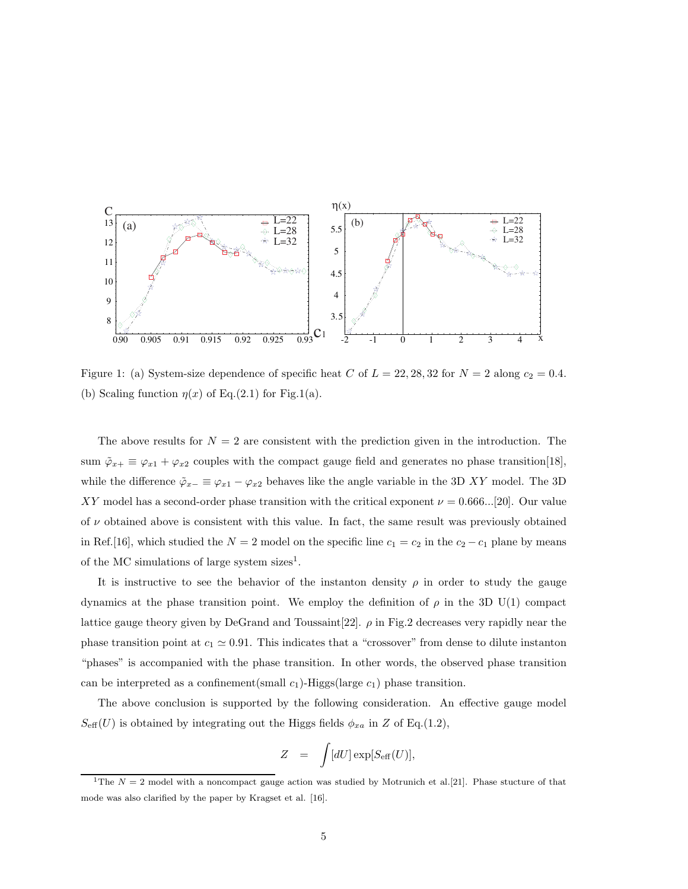

Figure 1: (a) System-size dependence of specific heat C of  $L = 22, 28, 32$  for  $N = 2$  along  $c_2 = 0.4$ . (b) Scaling function  $\eta(x)$  of Eq.(2.1) for Fig.1(a).

The above results for  $N = 2$  are consistent with the prediction given in the introduction. The sum  $\tilde{\varphi}_{x+} \equiv \varphi_{x1} + \varphi_{x2}$  couples with the compact gauge field and generates no phase transition[18], while the difference  $\tilde{\varphi}_{x-} \equiv \varphi_{x1} - \varphi_{x2}$  behaves like the angle variable in the 3D XY model. The 3D XY model has a second-order phase transition with the critical exponent  $\nu = 0.666...[20]$ . Our value of  $\nu$  obtained above is consistent with this value. In fact, the same result was previously obtained in Ref.[16], which studied the  $N = 2$  model on the specific line  $c_1 = c_2$  in the  $c_2 - c_1$  plane by means of the MC simulations of large system sizes<sup>1</sup>.

It is instructive to see the behavior of the instanton density  $\rho$  in order to study the gauge dynamics at the phase transition point. We employ the definition of  $\rho$  in the 3D U(1) compact lattice gauge theory given by DeGrand and Toussaint[22].  $\rho$  in Fig.2 decreases very rapidly near the phase transition point at  $c_1 \simeq 0.91$ . This indicates that a "crossover" from dense to dilute instanton "phases" is accompanied with the phase transition. In other words, the observed phase transition can be interpreted as a confinement(small  $c_1$ )-Higgs(large  $c_1$ ) phase transition.

The above conclusion is supported by the following consideration. An effective gauge model  $S_{\text{eff}}(U)$  is obtained by integrating out the Higgs fields  $\phi_{xa}$  in Z of Eq.(1.2),

$$
Z = \int [dU] \exp[S_{\rm eff}(U)],
$$

<sup>&</sup>lt;sup>1</sup>The  $N = 2$  model with a noncompact gauge action was studied by Motrunich et al. [21]. Phase stucture of that mode was also clarified by the paper by Kragset et al. [16].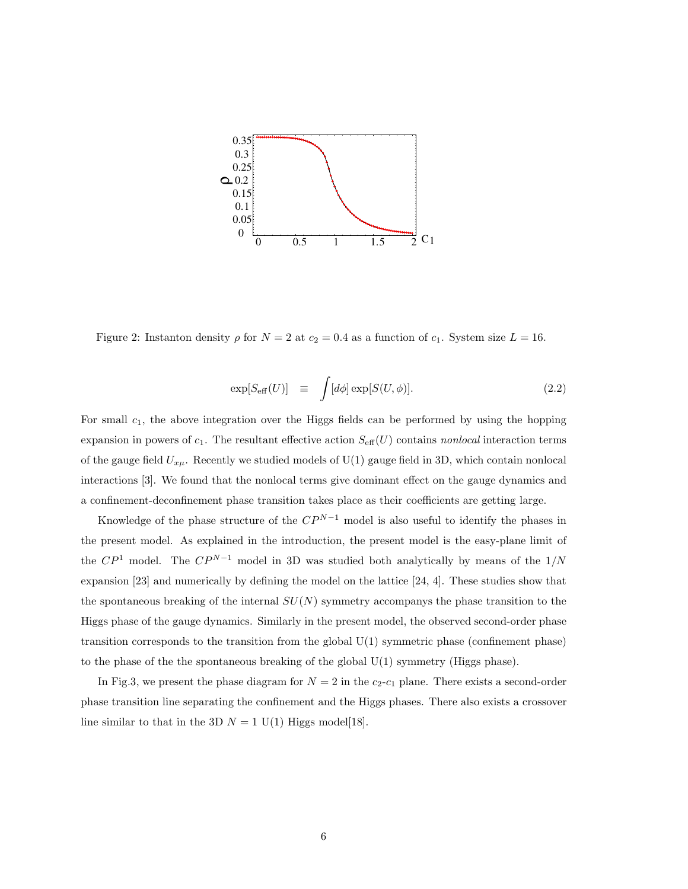

Figure 2: Instanton density  $\rho$  for  $N = 2$  at  $c_2 = 0.4$  as a function of  $c_1$ . System size  $L = 16$ .

$$
\exp[S_{\text{eff}}(U)] \equiv \int [d\phi] \exp[S(U,\phi)]. \tag{2.2}
$$

For small  $c_1$ , the above integration over the Higgs fields can be performed by using the hopping expansion in powers of  $c_1$ . The resultant effective action  $S_{\text{eff}}(U)$  contains nonlocal interaction terms of the gauge field  $U_{x\mu}$ . Recently we studied models of U(1) gauge field in 3D, which contain nonlocal interactions [3]. We found that the nonlocal terms give dominant effect on the gauge dynamics and a confinement-deconfinement phase transition takes place as their coefficients are getting large.

Knowledge of the phase structure of the  $CP^{N-1}$  model is also useful to identify the phases in the present model. As explained in the introduction, the present model is the easy-plane limit of the  $\mathbb{CP}^1$  model. The  $\mathbb{CP}^{N-1}$  model in 3D was studied both analytically by means of the  $1/N$ expansion [23] and numerically by defining the model on the lattice [24, 4]. These studies show that the spontaneous breaking of the internal  $SU(N)$  symmetry accompanys the phase transition to the Higgs phase of the gauge dynamics. Similarly in the present model, the observed second-order phase transition corresponds to the transition from the global U(1) symmetric phase (confinement phase) to the phase of the the spontaneous breaking of the global U(1) symmetry (Higgs phase).

In Fig.3, we present the phase diagram for  $N = 2$  in the  $c_2-c_1$  plane. There exists a second-order phase transition line separating the confinement and the Higgs phases. There also exists a crossover line similar to that in the 3D  $N = 1$  U(1) Higgs model[18].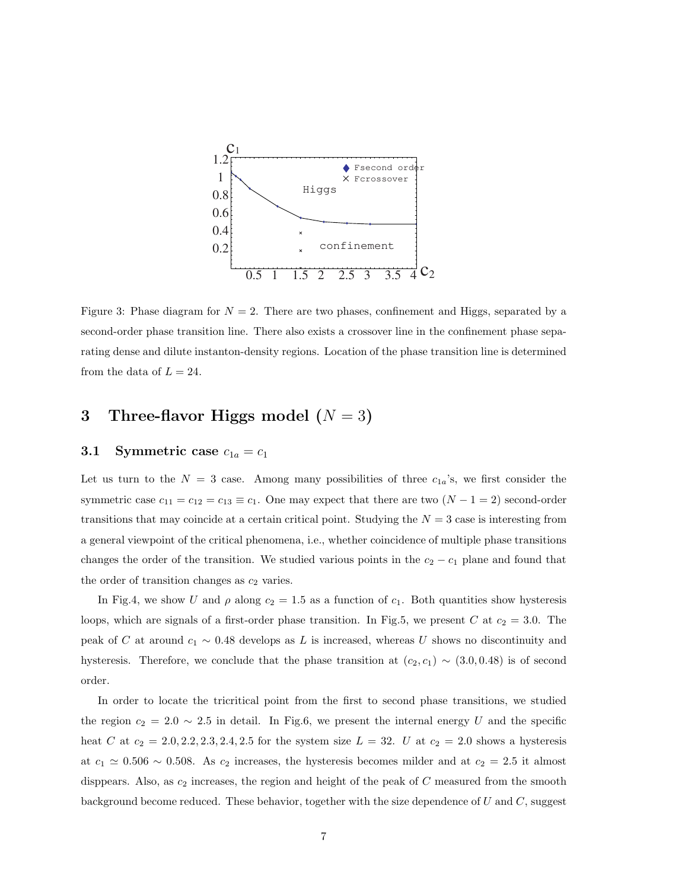

Figure 3: Phase diagram for  $N = 2$ . There are two phases, confinement and Higgs, separated by a second-order phase transition line. There also exists a crossover line in the confinement phase separating dense and dilute instanton-density regions. Location of the phase transition line is determined from the data of  $L = 24$ .

## 3 Three-flavor Higgs model  $(N = 3)$

### 3.1 Symmetric case  $c_{1a} = c_1$

Let us turn to the  $N = 3$  case. Among many possibilities of three  $c_{1a}$ 's, we first consider the symmetric case  $c_{11} = c_{12} = c_{13} \equiv c_1$ . One may expect that there are two  $(N - 1 = 2)$  second-order transitions that may coincide at a certain critical point. Studying the  $N = 3$  case is interesting from a general viewpoint of the critical phenomena, i.e., whether coincidence of multiple phase transitions changes the order of the transition. We studied various points in the  $c_2 - c_1$  plane and found that the order of transition changes as  $c_2$  varies.

In Fig.4, we show U and  $\rho$  along  $c_2 = 1.5$  as a function of  $c_1$ . Both quantities show hysteresis loops, which are signals of a first-order phase transition. In Fig.5, we present C at  $c_2 = 3.0$ . The peak of C at around  $c_1 \sim 0.48$  develops as L is increased, whereas U shows no discontinuity and hysteresis. Therefore, we conclude that the phase transition at  $(c_2, c_1) \sim (3.0, 0.48)$  is of second order.

In order to locate the tricritical point from the first to second phase transitions, we studied the region  $c_2 = 2.0 \sim 2.5$  in detail. In Fig.6, we present the internal energy U and the specific heat C at  $c_2 = 2.0, 2.2, 2.3, 2.4, 2.5$  for the system size  $L = 32$ . U at  $c_2 = 2.0$  shows a hysteresis at  $c_1 \simeq 0.506 \sim 0.508$ . As  $c_2$  increases, the hysteresis becomes milder and at  $c_2 = 2.5$  it almost disppears. Also, as  $c_2$  increases, the region and height of the peak of  $C$  measured from the smooth background become reduced. These behavior, together with the size dependence of  $U$  and  $C$ , suggest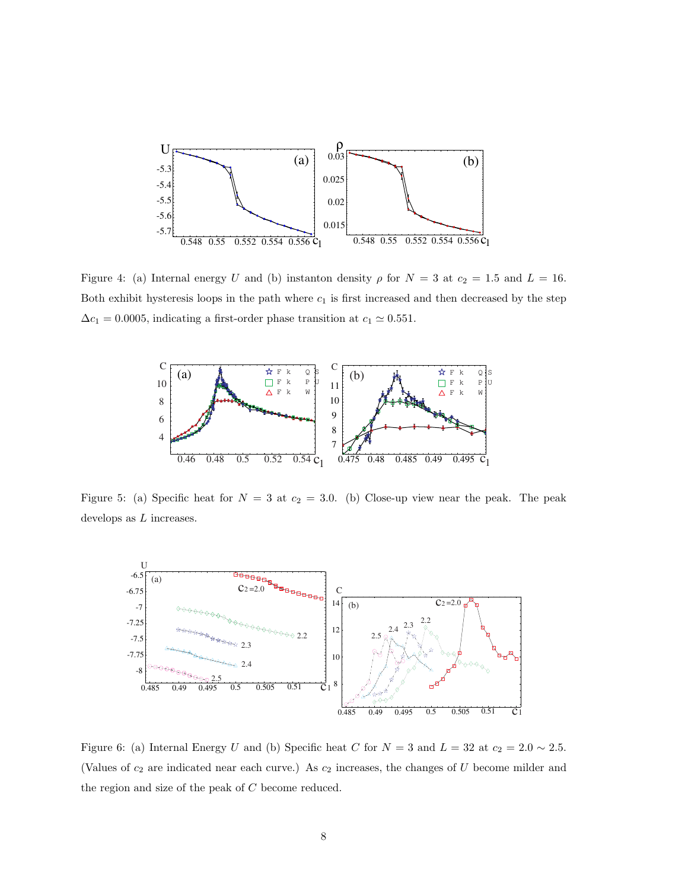

Figure 4: (a) Internal energy U and (b) instanton density  $\rho$  for  $N = 3$  at  $c_2 = 1.5$  and  $L = 16$ . Both exhibit hysteresis loops in the path where  $c_1$  is first increased and then decreased by the step  $\Delta c_1 = 0.0005,$  indicating a first-order phase transition at  $c_1 \simeq 0.551.$ 



Figure 5: (a) Specific heat for  $N = 3$  at  $c_2 = 3.0$ . (b) Close-up view near the peak. The peak develops as  $L$  increases.



Figure 6: (a) Internal Energy U and (b) Specific heat C for  $N = 3$  and  $L = 32$  at  $c_2 = 2.0 \sim 2.5$ . (Values of  $c_2$  are indicated near each curve.) As  $c_2$  increases, the changes of U become milder and the region and size of the peak of C become reduced.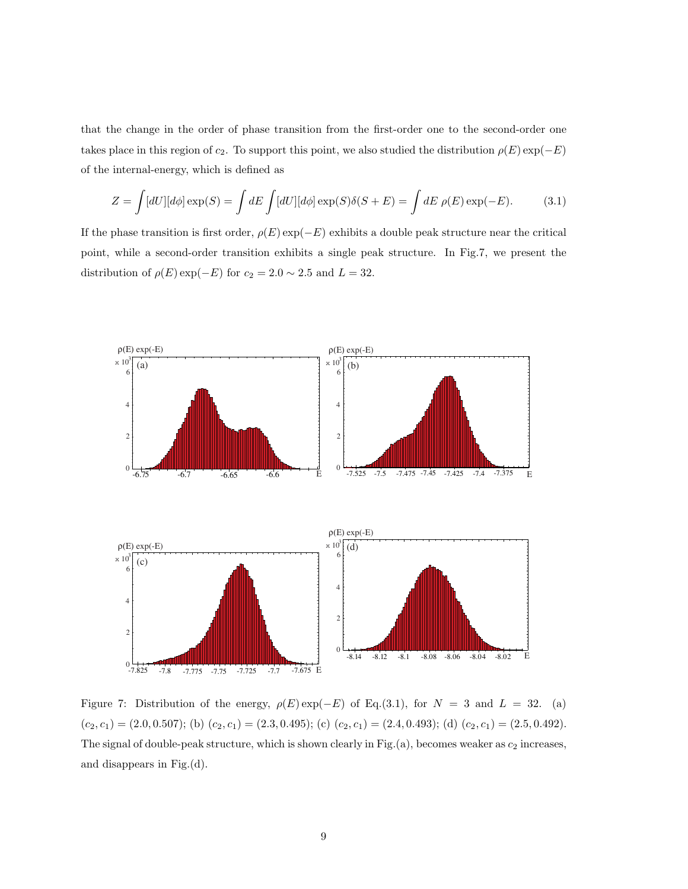that the change in the order of phase transition from the first-order one to the second-order one takes place in this region of  $c_2$ . To support this point, we also studied the distribution  $\rho(E) \exp(-E)$ of the internal-energy, which is defined as

$$
Z = \int [dU][d\phi] \exp(S) = \int dE \int [dU][d\phi] \exp(S)\delta(S+E) = \int dE \rho(E) \exp(-E). \tag{3.1}
$$

If the phase transition is first order,  $\rho(E) \exp(-E)$  exhibits a double peak structure near the critical point, while a second-order transition exhibits a single peak structure. In Fig.7, we present the distribution of  $\rho(E) \exp(-E)$  for  $c_2 = 2.0 \sim 2.5$  and  $L = 32$ .



Figure 7: Distribution of the energy,  $\rho(E) \exp(-E)$  of Eq.(3.1), for  $N = 3$  and  $L = 32$ . (a)  $(c_2, c_1) = (2.0, 0.507);$  (b)  $(c_2, c_1) = (2.3, 0.495);$  (c)  $(c_2, c_1) = (2.4, 0.493);$  (d)  $(c_2, c_1) = (2.5, 0.492).$ The signal of double-peak structure, which is shown clearly in Fig.(a), becomes weaker as  $c_2$  increases, and disappears in Fig.(d).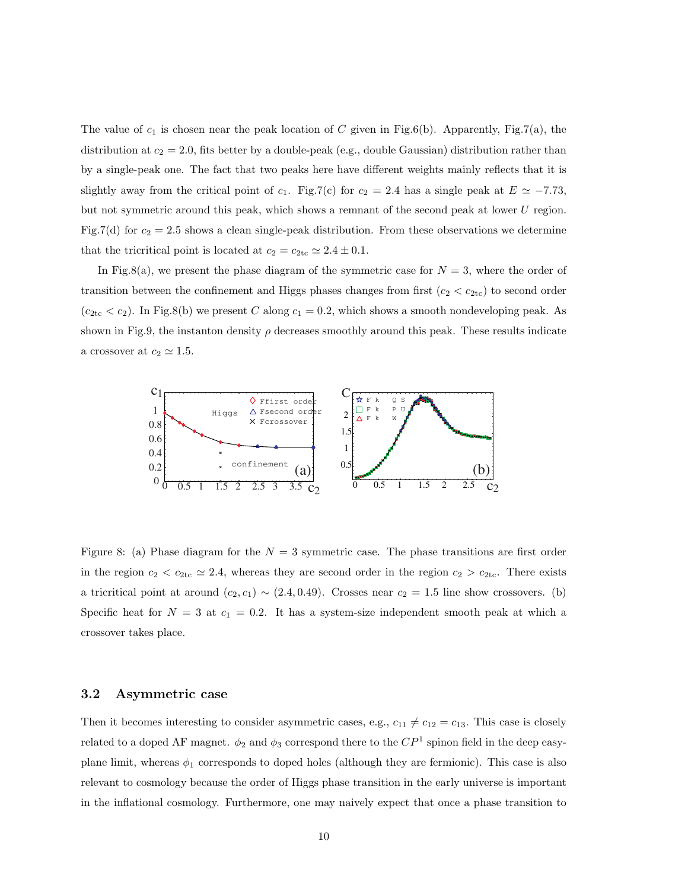The value of  $c_1$  is chosen near the peak location of C given in Fig.6(b). Apparently, Fig.7(a), the distribution at  $c_2 = 2.0$ , fits better by a double-peak (e.g., double Gaussian) distribution rather than by a single-peak one. The fact that two peaks here have different weights mainly reflects that it is slightly away from the critical point of c<sub>1</sub>. Fig.7(c) for c<sub>2</sub> = 2.4 has a single peak at  $E \simeq -7.73$ , but not symmetric around this peak, which shows a remnant of the second peak at lower U region. Fig.7(d) for  $c_2 = 2.5$  shows a clean single-peak distribution. From these observations we determine that the tricritical point is located at  $c_2 = c_{2\text{tc}} \approx 2.4 \pm 0.1$ .

In Fig.8(a), we present the phase diagram of the symmetric case for  $N = 3$ , where the order of transition between the confinement and Higgs phases changes from first  $(c_2 < c_{2tc})$  to second order  $(c_{2\text{tc}} < c_2)$ . In Fig.8(b) we present C along  $c_1 = 0.2$ , which shows a smooth nondeveloping peak. As shown in Fig.9, the instanton density  $\rho$  decreases smoothly around this peak. These results indicate a crossover at  $c_2 \simeq 1.5$ .



Figure 8: (a) Phase diagram for the  $N = 3$  symmetric case. The phase transitions are first order in the region  $c_2 < c_{2tc} \simeq 2.4$ , whereas they are second order in the region  $c_2 > c_{2tc}$ . There exists a tricritical point at around  $(c_2, c_1) \sim (2.4, 0.49)$ . Crosses near  $c_2 = 1.5$  line show crossovers. (b) Specific heat for  $N = 3$  at  $c_1 = 0.2$ . It has a system-size independent smooth peak at which a crossover takes place.

#### 3.2 Asymmetric case

Then it becomes interesting to consider asymmetric cases, e.g.,  $c_{11} \neq c_{12} = c_{13}$ . This case is closely related to a doped AF magnet.  $\phi_2$  and  $\phi_3$  correspond there to the  $CP^1$  spinon field in the deep easyplane limit, whereas  $\phi_1$  corresponds to doped holes (although they are fermionic). This case is also relevant to cosmology because the order of Higgs phase transition in the early universe is important in the inflational cosmology. Furthermore, one may naively expect that once a phase transition to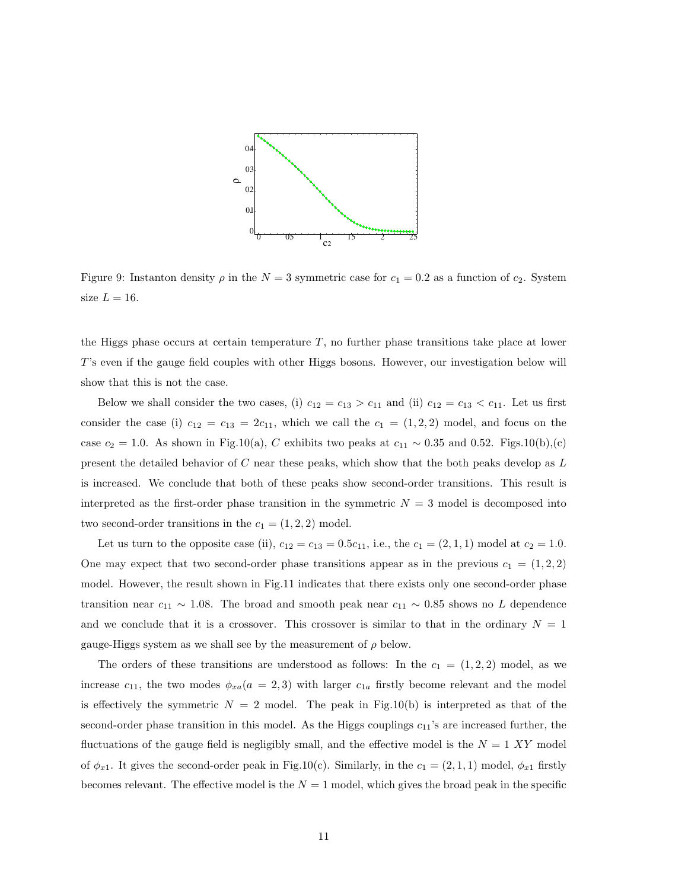

Figure 9: Instanton density  $\rho$  in the  $N = 3$  symmetric case for  $c_1 = 0.2$  as a function of  $c_2$ . System size  $L = 16$ .

the Higgs phase occurs at certain temperature  $T$ , no further phase transitions take place at lower T's even if the gauge field couples with other Higgs bosons. However, our investigation below will show that this is not the case.

Below we shall consider the two cases, (i)  $c_{12} = c_{13} > c_{11}$  and (ii)  $c_{12} = c_{13} < c_{11}$ . Let us first consider the case (i)  $c_{12} = c_{13} = 2c_{11}$ , which we call the  $c_1 = (1, 2, 2)$  model, and focus on the case  $c_2 = 1.0$ . As shown in Fig.10(a), C exhibits two peaks at  $c_{11} \sim 0.35$  and 0.52. Figs.10(b),(c) present the detailed behavior of  $C$  near these peaks, which show that the both peaks develop as  $L$ is increased. We conclude that both of these peaks show second-order transitions. This result is interpreted as the first-order phase transition in the symmetric  $N = 3$  model is decomposed into two second-order transitions in the  $c_1 = (1, 2, 2)$  model.

Let us turn to the opposite case (ii),  $c_{12} = c_{13} = 0.5c_{11}$ , i.e., the  $c_1 = (2, 1, 1)$  model at  $c_2 = 1.0$ . One may expect that two second-order phase transitions appear as in the previous  $c_1 = (1, 2, 2)$ model. However, the result shown in Fig.11 indicates that there exists only one second-order phase transition near  $c_{11} \sim 1.08$ . The broad and smooth peak near  $c_{11} \sim 0.85$  shows no L dependence and we conclude that it is a crossover. This crossover is similar to that in the ordinary  $N = 1$ gauge-Higgs system as we shall see by the measurement of  $\rho$  below.

The orders of these transitions are understood as follows: In the  $c_1 = (1, 2, 2)$  model, as we increase  $c_{11}$ , the two modes  $\phi_{xa}(a = 2, 3)$  with larger  $c_{1a}$  firstly become relevant and the model is effectively the symmetric  $N = 2$  model. The peak in Fig.10(b) is interpreted as that of the second-order phase transition in this model. As the Higgs couplings  $c_{11}$ 's are increased further, the fluctuations of the gauge field is negligibly small, and the effective model is the  $N = 1$  XY model of  $\phi_{x1}$ . It gives the second-order peak in Fig.10(c). Similarly, in the  $c_1 = (2, 1, 1)$  model,  $\phi_{x1}$  firstly becomes relevant. The effective model is the  $N = 1$  model, which gives the broad peak in the specific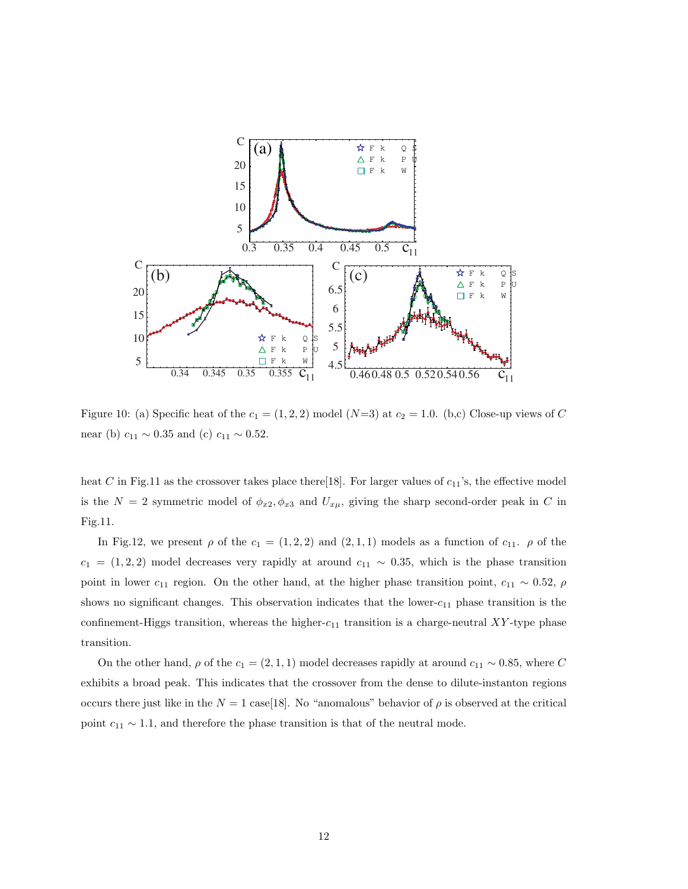

Figure 10: (a) Specific heat of the  $c_1 = (1, 2, 2)$  model  $(N=3)$  at  $c_2 = 1.0$ . (b,c) Close-up views of C near (b)  $c_{11} \sim 0.35$  and (c)  $c_{11} \sim 0.52$ .

heat C in Fig.11 as the crossover takes place there[18]. For larger values of  $c_{11}$ 's, the effective model is the  $N = 2$  symmetric model of  $\phi_{x2}, \phi_{x3}$  and  $U_{x\mu}$ , giving the sharp second-order peak in C in Fig.11.

In Fig.12, we present  $\rho$  of the  $c_1 = (1, 2, 2)$  and  $(2, 1, 1)$  models as a function of  $c_{11}$ .  $\rho$  of the  $c_1 = (1, 2, 2)$  model decreases very rapidly at around  $c_{11} \sim 0.35$ , which is the phase transition point in lower  $c_{11}$  region. On the other hand, at the higher phase transition point,  $c_{11} \sim 0.52$ ,  $\rho$ shows no significant changes. This observation indicates that the lower- $c_{11}$  phase transition is the confinement-Higgs transition, whereas the higher- $c_{11}$  transition is a charge-neutral XY-type phase transition.

On the other hand,  $\rho$  of the  $c_1 = (2, 1, 1)$  model decreases rapidly at around  $c_{11} \sim 0.85$ , where C exhibits a broad peak. This indicates that the crossover from the dense to dilute-instanton regions occurs there just like in the  $N = 1$  case[18]. No "anomalous" behavior of  $\rho$  is observed at the critical point  $c_{11} \sim 1.1$ , and therefore the phase transition is that of the neutral mode.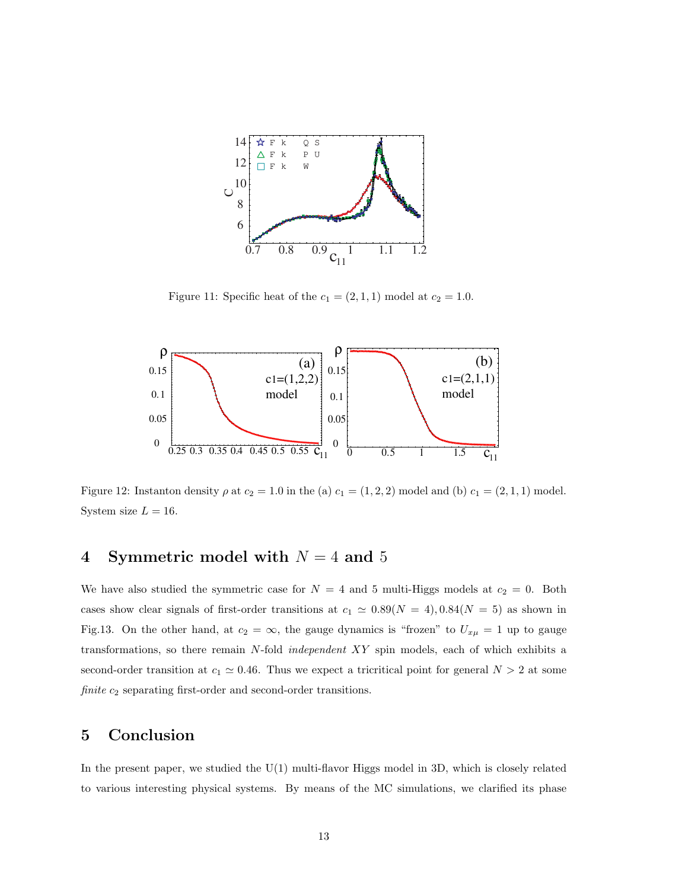

Figure 11: Specific heat of the  $c_1 = (2, 1, 1)$  model at  $c_2 = 1.0$ .



Figure 12: Instanton density  $\rho$  at  $c_2 = 1.0$  in the (a)  $c_1 = (1, 2, 2)$  model and (b)  $c_1 = (2, 1, 1)$  model. System size  $L = 16$ .

### 4 Symmetric model with  $N = 4$  and 5

We have also studied the symmetric case for  $N = 4$  and 5 multi-Higgs models at  $c_2 = 0$ . Both cases show clear signals of first-order transitions at  $c_1 \simeq 0.89(N = 4), 0.84(N = 5)$  as shown in Fig.13. On the other hand, at  $c_2 = \infty$ , the gauge dynamics is "frozen" to  $U_{x\mu} = 1$  up to gauge transformations, so there remain N-fold independent XY spin models, each of which exhibits a second-order transition at  $c_1 \simeq 0.46$ . Thus we expect a tricritical point for general  $N > 2$  at some finite  $c_2$  separating first-order and second-order transitions.

### 5 Conclusion

In the present paper, we studied the U(1) multi-flavor Higgs model in 3D, which is closely related to various interesting physical systems. By means of the MC simulations, we clarified its phase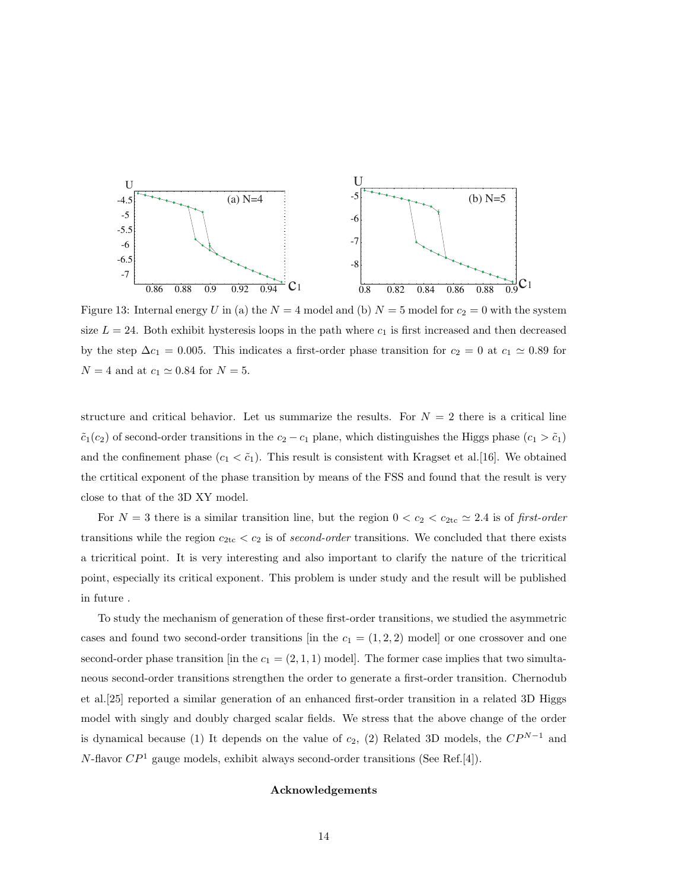

Figure 13: Internal energy U in (a) the  $N = 4$  model and (b)  $N = 5$  model for  $c_2 = 0$  with the system size  $L = 24$ . Both exhibit hysteresis loops in the path where  $c_1$  is first increased and then decreased by the step  $\Delta c_1 = 0.005$ . This indicates a first-order phase transition for  $c_2 = 0$  at  $c_1 \simeq 0.89$  for  $N = 4$  and at  $c_1 \simeq 0.84$  for  $N = 5$ .

structure and critical behavior. Let us summarize the results. For  $N = 2$  there is a critical line  $\tilde{c}_1(c_2)$  of second-order transitions in the  $c_2 - c_1$  plane, which distinguishes the Higgs phase  $(c_1 > \tilde{c}_1)$ and the confinement phase  $(c_1 < \tilde{c}_1)$ . This result is consistent with Kragset et al. [16]. We obtained the crtitical exponent of the phase transition by means of the FSS and found that the result is very close to that of the 3D XY model.

For  $N = 3$  there is a similar transition line, but the region  $0 < c_2 < c_{2tc} \simeq 2.4$  is of first-order transitions while the region  $c_{2\text{tc}} < c_2$  is of second-order transitions. We concluded that there exists a tricritical point. It is very interesting and also important to clarify the nature of the tricritical point, especially its critical exponent. This problem is under study and the result will be published in future .

To study the mechanism of generation of these first-order transitions, we studied the asymmetric cases and found two second-order transitions [in the  $c_1 = (1, 2, 2)$  model] or one crossover and one second-order phase transition [in the  $c_1 = (2, 1, 1)$  model]. The former case implies that two simultaneous second-order transitions strengthen the order to generate a first-order transition. Chernodub et al.[25] reported a similar generation of an enhanced first-order transition in a related 3D Higgs model with singly and doubly charged scalar fields. We stress that the above change of the order is dynamical because (1) It depends on the value of  $c_2$ , (2) Related 3D models, the  $\mathbb{CP}^{N-1}$  and  $N$ -flavor  $\mathbb{CP}^1$  gauge models, exhibit always second-order transitions (See Ref.[4]).

#### Acknowledgements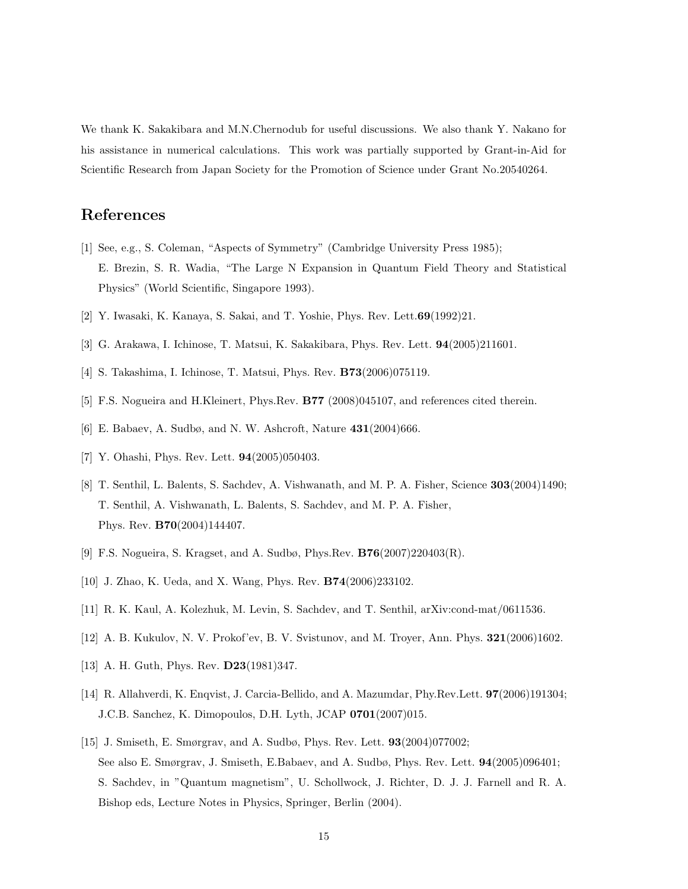We thank K. Sakakibara and M.N.Chernodub for useful discussions. We also thank Y. Nakano for his assistance in numerical calculations. This work was partially supported by Grant-in-Aid for Scientific Research from Japan Society for the Promotion of Science under Grant No.20540264.

### References

- [1] See, e.g., S. Coleman, "Aspects of Symmetry" (Cambridge University Press 1985); E. Brezin, S. R. Wadia, "The Large N Expansion in Quantum Field Theory and Statistical Physics" (World Scientific, Singapore 1993).
- [2] Y. Iwasaki, K. Kanaya, S. Sakai, and T. Yoshie, Phys. Rev. Lett.69(1992)21.
- [3] G. Arakawa, I. Ichinose, T. Matsui, K. Sakakibara, Phys. Rev. Lett. 94(2005)211601.
- [4] S. Takashima, I. Ichinose, T. Matsui, Phys. Rev. B73(2006)075119.
- [5] F.S. Nogueira and H.Kleinert, Phys.Rev. B77 (2008)045107, and references cited therein.
- [6] E. Babaev, A. Sudbø, and N. W. Ashcroft, Nature 431(2004)666.
- [7] Y. Ohashi, Phys. Rev. Lett. **94**(2005)050403.
- [8] T. Senthil, L. Balents, S. Sachdev, A. Vishwanath, and M. P. A. Fisher, Science 303(2004)1490; T. Senthil, A. Vishwanath, L. Balents, S. Sachdev, and M. P. A. Fisher, Phys. Rev. B70(2004)144407.
- [9] F.S. Nogueira, S. Kragset, and A. Sudbø, Phys.Rev. B76(2007)220403(R).
- [10] J. Zhao, K. Ueda, and X. Wang, Phys. Rev. B74(2006)233102.
- [11] R. K. Kaul, A. Kolezhuk, M. Levin, S. Sachdev, and T. Senthil, arXiv:cond-mat/0611536.
- [12] A. B. Kukulov, N. V. Prokof'ev, B. V. Svistunov, and M. Troyer, Ann. Phys. 321(2006)1602.
- [13] A. H. Guth, Phys. Rev. **D23**(1981)347.
- [14] R. Allahverdi, K. Enqvist, J. Carcia-Bellido, and A. Mazumdar, Phy.Rev.Lett. 97(2006)191304; J.C.B. Sanchez, K. Dimopoulos, D.H. Lyth, JCAP 0701(2007)015.
- [15] J. Smiseth, E. Smørgrav, and A. Sudbø, Phys. Rev. Lett.  $93(2004)077002$ ; See also E. Smørgrav, J. Smiseth, E.Babaev, and A. Sudbø, Phys. Rev. Lett. 94(2005)096401; S. Sachdev, in "Quantum magnetism", U. Schollwock, J. Richter, D. J. J. Farnell and R. A. Bishop eds, Lecture Notes in Physics, Springer, Berlin (2004).